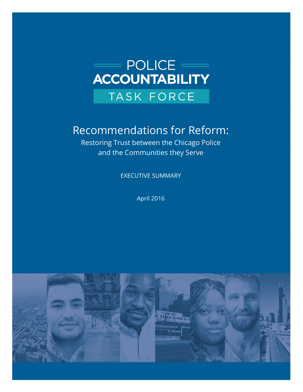## **ACCOUNTABILITY TASK FORCE**

## Recommendations for Reform:

Restoring Trust between the Chicago Police and the Communities they Serve

EXECUTIVE SUMMARY

April 2016

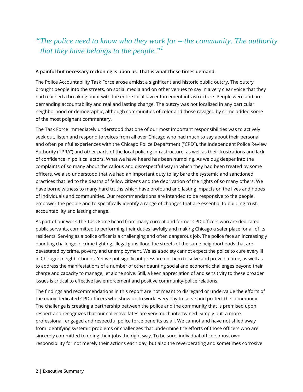## *"The police need to know who they work for – the community. The authority that they have belongs to the people."[1](#page-20-0)*

#### **A painful but necessary reckoning is upon us. That is what these times demand.**

The Police Accountability Task Force arose amidst a significant and historic public outcry. The outcry brought people into the streets, on social media and on other venues to say in a very clear voice that they had reached a breaking point with the entire local law enforcement infrastructure. People were and are demanding accountability and real and lasting change. The outcry was not localized in any particular neighborhood or demographic, although communities of color and those ravaged by crime added some of the most poignant commentary.

The Task Force immediately understood that one of our most important responsibilities was to actively seek out, listen and respond to voices from all over Chicago who had much to say about their personal and often painful experiences with the Chicago Police Department ("CPD"), the Independent Police Review Authority ("IPRA") and other parts of the local policing infrastructure, as well as their frustrations and lack of confidence in political actors. What we have heard has been humbling. As we dug deeper into the complaints of so many about the callous and disrespectful way in which they had been treated by some officers, we also understood that we had an important duty to lay bare the systemic and sanctioned practices that led to the deaths of fellow citizens and the deprivation of the rights of so many others. We have borne witness to many hard truths which have profound and lasting impacts on the lives and hopes of individuals and communities. Our recommendations are intended to be responsive to the people, empower the people and to specifically identify a range of changes that are essential to building trust, accountability and lasting change.

As part of our work, the Task Force heard from many current and former CPD officers who are dedicated public servants, committed to performing their duties lawfully and making Chicago a safer place for all of its residents. Serving as a police officer is a challenging and often dangerous job. The police face an increasingly daunting challenge in crime fighting. Illegal guns flood the streets of the same neighborhoods that are devastated by crime, poverty and unemployment. We as a society cannot expect the police to cure every ill in Chicago's neighborhoods. Yet we put significant pressure on them to solve and prevent crime, as well as to address the manifestations of a number of other daunting social and economic challenges beyond their charge and capacity to manage, let alone solve. Still, a keen appreciation of and sensitivity to these broader issues is critical to effective law enforcement and positive community-police relations.

The findings and recommendations in this report are not meant to disregard or undervalue the efforts of the many dedicated CPD officers who show up to work every day to serve and protect the community. The challenge is creating a partnership between the police and the community that is premised upon respect and recognizes that our collective fates are very much intertwined. Simply put, a more professional, engaged and respectful police force benefits us all. We cannot and have not shied away from identifying systemic problems or challenges that undermine the efforts of those officers who are sincerely committed to doing their jobs the right way. To be sure, individual officers must own responsibility for not merely their actions each day, but also the reverberating and sometimes corrosive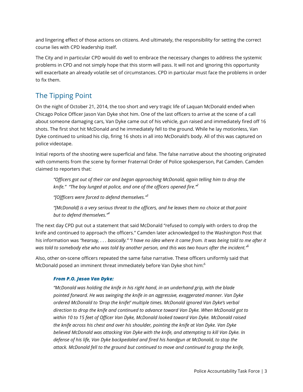and lingering effect of those actions on citizens. And ultimately, the responsibility for setting the correct course lies with CPD leadership itself.

The City and in particular CPD would do well to embrace the necessary changes to address the systemic problems in CPD and not simply hope that this storm will pass. It will not and ignoring this opportunity will exacerbate an already volatile set of circumstances. CPD in particular must face the problems in order to fix them.

## The Tipping Point

On the night of October 21, 2014, the too short and very tragic life of Laquan McDonald ended when Chicago Police Officer Jason Van Dyke shot him. One of the last officers to arrive at the scene of a call about someone damaging cars, Van Dyke came out of his vehicle, gun raised and immediately fired off 16 shots. The first shot hit McDonald and he immediately fell to the ground. While he lay motionless, Van Dyke continued to unload his clip, firing 16 shots in all into McDonald's body. All of this was captured on police videotape.

Initial reports of the shooting were superficial and false. The false narrative about the shooting originated with comments from the scene by former Fraternal Order of Police spokesperson, Pat Camden. Camden claimed to reporters that:

*"Officers got out of their car and began approaching McDonald, again telling him to drop the knife." "The boy lunged at police, and one of the officers opened fire."[2](#page-20-1)*

*"[O]fficers were forced to defend themselves."[3](#page-20-2)*

*"[McDonald] is a very serious threat to the officers, and he leaves them no choice at that point but to defend themselves."[4](#page-20-3)*

The next day CPD put out a statement that said McDonald "refused to comply with orders to drop the knife and continued to approach the officers." Camden later acknowledged to the Washington Post that his information was *"hearsay, . . . basically." "I have no idea where it came from. It was being told to me after it was told to somebody else who was told by another person, and this was two hours after the incident."*[5](#page-20-4)

Also, other on-scene officers repeated the same false narrative. These officers uniformly said that McDonald posed an imminent threat immediately before Van Dyke shot him:<sup>[6](#page-20-5)</sup>

## *From P.O. Jason Van Dyke:*

*"McDonald was holding the knife in his right hand, in an underhand grip, with the blade pointed forward. He was swinging the knife in an aggressive, exaggerated manner. Van Dyke ordered McDonald to 'Drop the knife!' multiple times. McDonald ignored Van Dyke's verbal direction to drop the knife and continued to advance toward Van Dyke. When McDonald got to within 10 to 15 feet of Officer Van Dyke, McDonald looked toward Van Dyke. McDonald raised the knife across his chest and over his shoulder, pointing the knife at Van Dyke. Van Dyke believed McDonald was attacking Van Dyke with the knife, and attempting to kill Van Dyke. In defense of his life, Van Dyke backpedaled and fired his handgun at McDonald, to stop the attack. McDonald fell to the ground but continued to move and continued to grasp the knife,*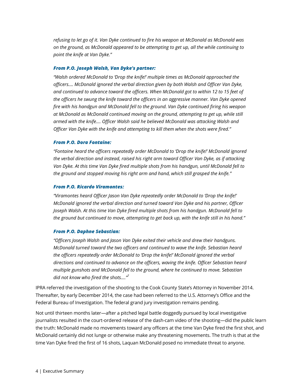*refusing to let go of it. Van Dyke continued to fire his weapon at McDonald as McDonald was on the ground, as McDonald appeared to be attempting to get up, all the while continuing to point the knife at Van Dyke."*

#### *From P.O. Joseph Walsh, Van Dyke's partner:*

*"Walsh ordered McDonald to 'Drop the knife!' multiple times as McDonald approached the officers…. McDonald ignored the verbal direction given by both Walsh and Officer Van Dyke, and continued to advance toward the officers. When McDonald got to within 12 to 15 feet of the officers he swung the knife toward the officers in an aggressive manner. Van Dyke opened fire with his handgun and McDonald fell to the ground. Van Dyke continued firing his weapon at McDonald as McDonald continued moving on the ground, attempting to get up, while still armed with the knife…. Officer Walsh said he believed McDonald was attacking Walsh and Officer Van Dyke with the knife and attempting to kill them when the shots were fired."*

#### *From P.O. Dora Fontaine:*

*"Fontaine heard the officers repeatedly order McDonald to 'Drop the knife!' McDonald ignored the verbal direction and instead, raised his right arm toward Officer Van Dyke, as if attacking Van Dyke. At this time Van Dyke fired multiple shots from his handgun, until McDonald fell to the ground and stopped moving his right arm and hand, which still grasped the knife."*

#### *From P.O. Ricardo Viramontes:*

*"Viramontes heard Officer Jason Van Dyke repeatedly order McDonald to 'Drop the knife!' McDonald ignored the verbal direction and turned toward Van Dyke and his partner, Officer Joseph Walsh. At this time Van Dyke fired multiple shots from his handgun. McDonald fell to the ground but continued to move, attempting to get back up, with the knife still in his hand."*

#### *From P.O. Daphne Sebastian:*

*"Officers Joseph Walsh and Jason Van Dyke exited their vehicle and drew their handguns. McDonald turned toward the two officers and continued to wave the knife. Sebastian heard the officers repeatedly order McDonald to 'Drop the knife!' McDonald ignored the verbal directions and continued to advance on the officers, waving the knife. Officer Sebastian heard multiple gunshots and McDonald fell to the ground, where he continued to move. Sebastian did not know who fired the shots…."[7](#page-20-6)*

IPRA referred the investigation of the shooting to the Cook County State's Attorney in November 2014. Thereafter, by early December 2014, the case had been referred to the U.S. Attorney's Office and the Federal Bureau of Investigation. The federal grand jury investigation remains pending.

Not until thirteen months later—after a pitched legal battle doggedly pursued by local investigative journalists resulted in the court-ordered release of the dash-cam video of the shooting—did the public learn the truth: McDonald made no movements toward any officers at the time Van Dyke fired the first shot, and McDonald certainly did not lunge or otherwise make any threatening movements. The truth is that at the time Van Dyke fired the first of 16 shots, Laquan McDonald posed no immediate threat to anyone.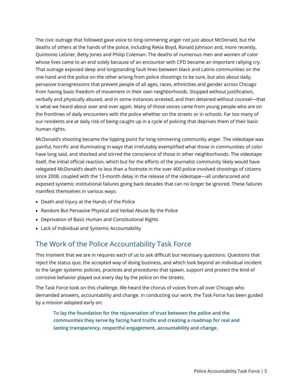The civic outrage that followed gave voice to long-simmering anger not just about McDonald, but the deaths of others at the hands of the police, including Rekia Boyd, Ronald Johnson and, more recently, Quintonio LeGrier, Betty Jones and Philip Coleman. The deaths of numerous men and women of color whose lives came to an end solely because of an encounter with CPD became an important rallying cry. That outrage exposed deep and longstanding fault lines between black and Latino communities on the one hand and the police on the other arising from police shootings to be sure, but also about daily, pervasive transgressions that prevent people of all ages, races, ethnicities and gender across Chicago from having basic freedom of movement in their own neighborhoods. Stopped without justification, verbally and physically abused, and in some instances arrested, and then detained without counsel—that is what we heard about over and over again. Many of those voices came from young people who are on the frontlines of daily encounters with the police whether on the streets or in schools. Far too many of our residents are at daily risk of being caught up in a cycle of policing that deprives them of their basic human rights.

McDonald's shooting became the tipping point for long-simmering community anger. The videotape was painful, horrific and illuminating in ways that irrefutably exemplified what those in communities of color have long said, and shocked and stirred the conscience of those in other neighborhoods. The videotape itself, the initial official reaction, which but for the efforts of the journalist community likely would have relegated McDonald's death to less than a footnote in the over 400 police-involved shootings of citizens since 2008, coupled with the 13-month delay in the release of the videotape—all underscored and exposed systemic institutional failures going back decades that can no longer be ignored. These failures manifest themselves in various ways:

- Death and Injury at the Hands of the Police
- Random But Pervasive Physical and Verbal Abuse By the Police
- Deprivation of Basic Human and Constitutional Rights
- Lack of Individual and Systemic Accountability

## The Work of the Police Accountability Task Force

This moment that we are in requires each of us to ask difficult but necessary questions. Questions that reject the status quo, the accepted way of doing business, and which look beyond an individual incident to the larger systemic policies, practices and procedures that spawn, support and protect the kind of corrosive behavior played out every day by the police on the streets.

The Task Force took on this challenge. We heard the chorus of voices from all over Chicago who demanded answers, accountability and change. In conducting our work, the Task Force has been guided by a mission adopted early on:

**To lay the foundation for the rejuvenation of trust between the police and the communities they serve by facing hard truths and creating a roadmap for real and lasting transparency, respectful engagement, accountability and change.**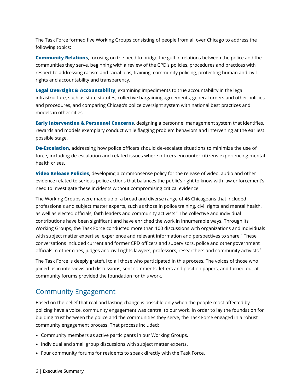The Task Force formed five Working Groups consisting of people from all over Chicago to address the following topics:

**Community Relations**, focusing on the need to bridge the gulf in relations between the police and the communities they serve, beginning with a review of the CPD's policies, procedures and practices with respect to addressing racism and racial bias, training, community policing, protecting human and civil rights and accountability and transparency.

**Legal Oversight & Accountability**, examining impediments to true accountability in the legal infrastructure, such as state statutes, collective bargaining agreements, general orders and other policies and procedures, and comparing Chicago's police oversight system with national best practices and models in other cities.

**Early Intervention & Personnel Concerns**, designing a personnel management system that identifies, rewards and models exemplary conduct while flagging problem behaviors and intervening at the earliest possible stage.

**De-Escalation**, addressing how police officers should de-escalate situations to minimize the use of force, including de-escalation and related issues where officers encounter citizens experiencing mental health crises.

**Video Release Policies**, developing a commonsense policy for the release of video, audio and other evidence related to serious police actions that balances the public's right to know with law enforcement's need to investigate these incidents without compromising critical evidence.

The Working Groups were made up of a broad and diverse range of 46 Chicagoans that included professionals and subject matter experts, such as those in police training, civil rights and mental health, as well as elected officials, faith leaders and community activists. $^8$  $^8$  The collective and individual contributions have been significant and have enriched the work in innumerable ways. Through its Working Groups, the Task Force conducted more than 100 discussions with organizations and individuals with subject matter expertise, experience and relevant information and perspectives to share. $^9$  $^9$  These conversations included current and former CPD officers and supervisors, police and other government officials in other cities, judges and civil rights lawyers, professors, researchers and community activists.<sup>[10](#page-20-9)</sup>

The Task Force is deeply grateful to all those who participated in this process. The voices of those who joined us in interviews and discussions, sent comments, letters and position papers, and turned out at community forums provided the foundation for this work.

## Community Engagement

Based on the belief that real and lasting change is possible only when the people most affected by policing have a voice, community engagement was central to our work. In order to lay the foundation for building trust between the police and the communities they serve, the Task Force engaged in a robust community engagement process. That process included:

- Community members as active participants in our Working Groups.
- Individual and small group discussions with subject matter experts.
- Four community forums for residents to speak directly with the Task Force.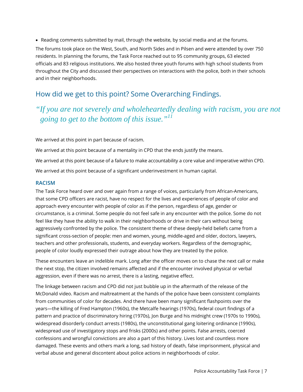• Reading comments submitted by mail, through the website, by social media and at the forums. The forums took place on the West, South, and North Sides and in Pilsen and were attended by over 750 residents. In planning the forums, the Task Force reached out to 95 community groups, 63 elected officials and 83 religious institutions. We also hosted three youth forums with high school students from throughout the City and discussed their perspectives on interactions with the police, both in their schools and in their neighborhoods.

## How did we get to this point? Some Overarching Findings.

## *"If you are not severely and wholeheartedly dealing with racism, you are not going to get to the bottom of this issue."[11](#page-20-10)*

We arrived at this point in part because of racism.

We arrived at this point because of a mentality in CPD that the ends justify the means.

We arrived at this point because of a failure to make accountability a core value and imperative within CPD. We arrived at this point because of a significant underinvestment in human capital.

### **RACISM**

The Task Force heard over and over again from a range of voices, particularly from African-Americans, that some CPD officers are racist, have no respect for the lives and experiences of people of color and approach every encounter with people of color as if the person, regardless of age, gender or circumstance, is a criminal. Some people do not feel safe in any encounter with the police. Some do not feel like they have the ability to walk in their neighborhoods or drive in their cars without being aggressively confronted by the police. The consistent theme of these deeply-held beliefs came from a significant cross-section of people: men and women, young, middle-aged and older, doctors, lawyers, teachers and other professionals, students, and everyday workers. Regardless of the demographic, people of color loudly expressed their outrage about how they are treated by the police.

These encounters leave an indelible mark. Long after the officer moves on to chase the next call or make the next stop, the citizen involved remains affected and if the encounter involved physical or verbal aggression, even if there was no arrest, there is a lasting, negative effect.

The linkage between racism and CPD did not just bubble up in the aftermath of the release of the McDonald video. Racism and maltreatment at the hands of the police have been consistent complaints from communities of color for decades. And there have been many significant flashpoints over the years—the killing of Fred Hampton (1960s), the Metcalfe hearings (1970s), federal court findings of a pattern and practice of discriminatory hiring (1970s), Jon Burge and his midnight crew (1970s to 1990s), widespread disorderly conduct arrests (1980s), the unconstitutional gang loitering ordinance (1990s), widespread use of investigatory stops and frisks (2000s) and other points. False arrests, coerced confessions and wrongful convictions are also a part of this history. Lives lost and countless more damaged. These events and others mark a long, sad history of death, false imprisonment, physical and verbal abuse and general discontent about police actions in neighborhoods of color.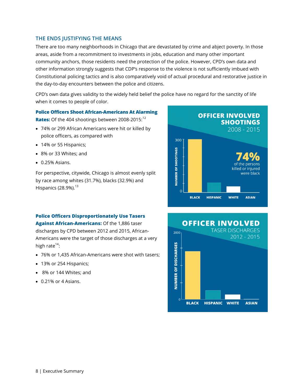### **THE ENDS JUSTIFYING THE MEANS**

There are too many neighborhoods in Chicago that are devastated by crime and abject poverty. In those areas, aside from a recommitment to investments in jobs, education and many other important community anchors, those residents need the protection of the police. However, CPD's own data and other information strongly suggests that CDP's response to the violence is not sufficiently imbued with Constitutional policing tactics and is also comparatively void of actual procedural and restorative justice in the day-to-day encounters between the police and citizens.

CPD's own data gives validity to the widely held belief the police have no regard for the sanctity of life when it comes to people of color.

#### **Police Officers Shoot African-Americans At Alarming**

Rates: Of the 404 shootings between 2008-2015:<sup>[12](#page-20-11)</sup>

- 74% or 299 African Americans were hit or killed by police officers, as compared with
- 14% or 55 Hispanics;
- 8% or 33 Whites; and
- 0.25% Asians.

For perspective, citywide, Chicago is almost evenly split by race among whites (31.7%), blacks (32.9%) and Hispanics (28.9%). $13$ 

**Police Officers Disproportionately Use Tasers Against African-Americans:** Of the 1,886 taser discharges by CPD between 2012 and 2015, African-Americans were the target of those discharges at a very high rate<sup>[14](#page-20-13)</sup>:

- 76% or 1,435 African-Americans were shot with tasers;
- 13% or 254 Hispanics;
- 8% or 144 Whites; and
- 0.21% or 4 Asians.



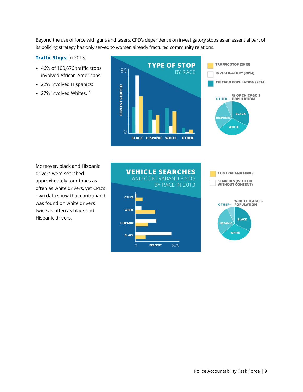Beyond the use of force with guns and tasers, CPD's dependence on investigatory stops as an essential part of its policing strategy has only served to worsen already fractured community relations.

**Traffic Stops:** In 2013,

- 46% of 100,676 traffic stops involved African-Americans;
- 22% involved Hispanics;
- $\bullet$  27% involved Whites.<sup>[15](#page-20-14)</sup>



Moreover, black and Hispanic drivers were searched approximately four times as often as white drivers, yet CPD's own data show that contraband was found on white drivers twice as often as black and Hispanic drivers.

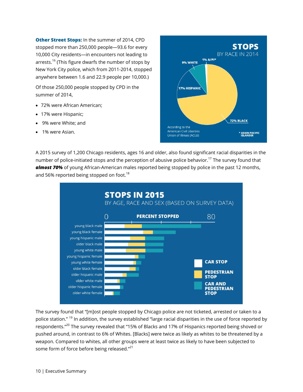**Other Street Stops:** In the summer of 2014, CPD stopped more than 250,000 people—93.6 for every 10,000 City residents—in encounters not leading to arrests.<sup>[16](#page-20-15)</sup> (This figure dwarfs the number of stops by New York City police, which from 2011-2014, stopped anywhere between 1.6 and 22.9 people per 10,000.)

Of those 250,000 people stopped by CPD in the summer of 2014,

- 72% were African American;
- 17% were Hispanic;
- 9% were White; and
- 1% were Asian.



A 2015 survey of 1,200 Chicago residents, ages 16 and older, also found significant racial disparities in the number of police-initiated stops and the perception of abusive police behavior.<sup>[17](#page-20-16)</sup> The survey found that *almost 70%* of young African-American males reported being stopped by police in the past 12 months, and 56% reported being stopped on foot.<sup>[18](#page-20-17)</sup>



The survey found that "[m]ost people stopped by Chicago police are not ticketed, arrested or taken to a police station." <sup>[19](#page-20-18)</sup> In addition, the survey established "large racial disparities in the use of force reported by respondents."[20](#page-20-19) The survey revealed that "15% of Blacks and 17% of Hispanics reported being shoved or pushed around, in contrast to 6% of Whites. [Blacks] were twice as likely as whites to be threatened by a weapon. Compared to whites, all other groups were at least twice as likely to have been subjected to some form of force before being released."<sup>[21](#page-20-20)</sup>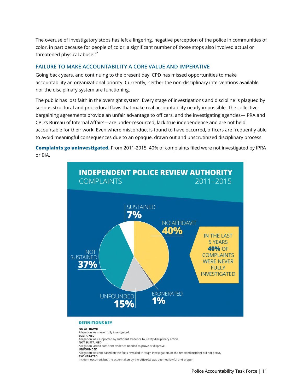The overuse of investigatory stops has left a lingering, negative perception of the police in communities of color, in part because for people of color, a significant number of those stops also involved actual or threatened physical abuse. $22$ 

### **FAILURE TO MAKE ACCOUNTABILITY A CORE VALUE AND IMPERATIVE**

Going back years, and continuing to the present day, CPD has missed opportunities to make accountability an organizational priority. Currently, neither the non-disciplinary interventions available nor the disciplinary system are functioning.

The public has lost faith in the oversight system. Every stage of investigations and discipline is plagued by serious structural and procedural flaws that make real accountability nearly impossible. The collective bargaining agreements provide an unfair advantage to officers, and the investigating agencies—IPRA and CPD's Bureau of Internal Affairs—are under-resourced, lack true independence and are not held accountable for their work. Even where misconduct is found to have occurred, officers are frequently able to avoid meaningful consequences due to an opaque, drawn out and unscrutinized disciplinary process.

**Complaints go uninvestigated.** From 2011-2015, 40% of complaints filed were not investigated by IPRA or BIA.



#### **DEFINITIONS KEY**

NO AFFIDAVIT Allegation was never fully investigated. **SUSTAINED** Allegation was supported by sufficient evidence to justify disciplinary action. NOT SUSTAINED Allegation lacked sufficient evidence needed to prove or disprove.<br>UNFOUNDED OnFOUNDED<br>Allegation was not based on the facts revealed through investigation, or the reported incident did not occur.<br>EXONERATED Incident occurred, but the action taken by the officer(s) was deemed lawful and proper.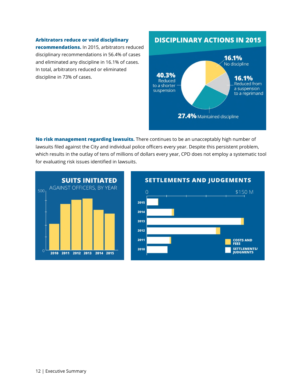#### **Arbitrators reduce or void disciplinary**

**recommendations.** In 2015, arbitrators reduced disciplinary recommendations in 56.4% of cases and eliminated any discipline in 16.1% of cases. In total, arbitrators reduced or eliminated discipline in 73% of cases.

## **DISCIPLINARY ACTIONS IN 2015**



**No risk management regarding lawsuits.** There continues to be an unacceptably high number of lawsuits filed against the City and individual police officers every year. Despite this persistent problem, which results in the outlay of tens of millions of dollars every year, CPD does not employ a systematic tool for evaluating risk issues identified in lawsuits.

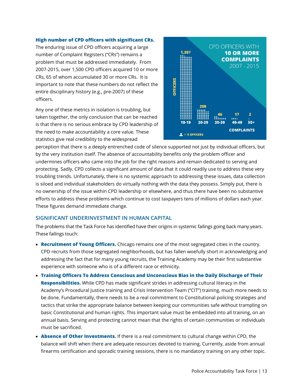#### **High number of CPD officers with significant CRs.**

The enduring issue of CPD officers acquiring a large number of Complaint Registers ("CRs") remains a problem that must be addressed immediately. From 2007-2015, over 1,500 CPD officers acquired 10 or more CRs, 65 of whom accumulated 30 or more CRs. It is important to note that these numbers do not reflect the entire disciplinary history (e.g., pre-2007) of these officers.

Any one of these metrics in isolation is troubling, but taken together, the only conclusion that can be reached is that there is no serious embrace by CPD leadership of the need to make accountability a core value. These statistics give real credibility to the widespread



perception that there is a deeply entrenched code of silence supported not just by individual officers, but by the very institution itself. The absence of accountability benefits only the problem officer and undermines officers who came into the job for the right reasons and remain dedicated to serving and protecting. Sadly, CPD collects a significant amount of data that it could readily use to address these very troubling trends. Unfortunately, there is no systemic approach to addressing these issues, data collection is siloed and individual stakeholders do virtually nothing with the data they possess. Simply put, there is no ownership of the issue within CPD leadership or elsewhere, and thus there have been no substantive efforts to address these problems which continue to cost taxpayers tens of millions of dollars each year. These figures demand immediate change.

#### **SIGNIFICANT UNDERINVESTMENT IN HUMAN CAPITAL**

The problems that the Task Force has identified have their origins in systemic failings going back many years. These failings touch:

- **Recruitment of Young Officers.** Chicago remains one of the most segregated cities in the country. CPD recruits from those segregated neighborhoods, but has fallen woefully short in acknowledging and addressing the fact that for many young recruits, the Training Academy may be their first substantive experience with someone who is of a different race or ethnicity.
- **Training Officers To Address Conscious and Unconscious Bias in the Daily Discharge of Their Responsibilities.** While CPD has made significant strides in addressing cultural literacy in the Academy's Procedural Justice training and Crisis Intervention Team ("CIT") training, much more needs to be done. Fundamentally, there needs to be a real commitment to Constitutional policing strategies and tactics that strike the appropriate balance between keeping our communities safe without trampling on basic Constitutional and human rights. This important value must be embedded into all training, on an annual basis. Serving and protecting cannot mean that the rights of certain communities or individuals must be sacrificed.
- **Absence of Other Investments.** If there is a real commitment to cultural change within CPD, the balance will shift when there are adequate resources devoted to training. Currently, aside from annual firearms certification and sporadic training sessions, there is no mandatory training on any other topic.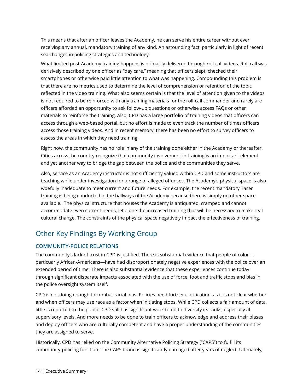This means that after an officer leaves the Academy, he can serve his entire career without ever receiving any annual, mandatory training of any kind. An astounding fact, particularly in light of recent sea changes in policing strategies and technology.

What limited post-Academy training happens is primarily delivered through roll-call videos. Roll call was derisively described by one officer as "day care," meaning that officers slept, checked their smartphones or otherwise paid little attention to what was happening. Compounding this problem is that there are no metrics used to determine the level of comprehension or retention of the topic reflected in the video training. What also seems certain is that the level of attention given to the videos is not required to be reinforced with any training materials for the roll-call commander and rarely are officers afforded an opportunity to ask follow-up questions or otherwise access FAQs or other materials to reinforce the training. Also, CPD has a large portfolio of training videos that officers can access through a web-based portal, but no effort is made to even track the number of times officers access those training videos. And in recent memory, there has been no effort to survey officers to assess the areas in which they need training.

Right now, the community has no role in any of the training done either in the Academy or thereafter. Cities across the country recognize that community involvement in training is an important element and yet another way to bridge the gap between the police and the communities they serve.

Also, service as an Academy instructor is not sufficiently valued within CPD and some instructors are teaching while under investigation for a range of alleged offenses. The Academy's physical space is also woefully inadequate to meet current and future needs. For example, the recent mandatory Taser training is being conducted in the hallways of the Academy because there is simply no other space available. The physical structure that houses the Academy is antiquated, cramped and cannot accommodate even current needs, let alone the increased training that will be necessary to make real cultural change. The constraints of the physical space negatively impact the effectiveness of training.

## Other Key Findings By Working Group

## **COMMUNITY-POLICE RELATIONS**

The community's lack of trust in CPD is justified. There is substantial evidence that people of color particuarly African-Americans—have had disproportionately negative experiences with the police over an extended period of time. There is also substantial evidence that these experiences continue today through significant disparate impacts associated with the use of force, foot and traffic stops and bias in the police oversight system itself.

CPD is not doing enough to combat racial bias. Policies need further clarification, as it is not clear whether and when officers may use race as a factor when initiating stops. While CPD collects a fair amount of data, little is reported to the public. CPD still has significant work to do to diversify its ranks, especially at supervisory levels. And more needs to be done to train officers to acknowledge and address their biases and deploy officers who are culturally competent and have a proper understanding of the communities they are assigned to serve.

Historically, CPD has relied on the Community Alternative Policing Strategy ("CAPS") to fulfill its community-policing function. The CAPS brand is significantly damaged after years of neglect. Ultimately,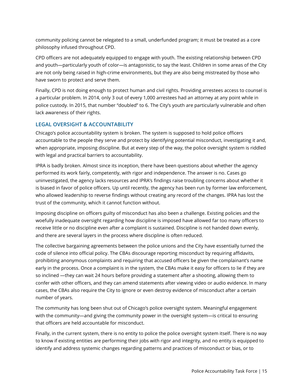community policing cannot be relegated to a small, underfunded program; it must be treated as a core philosophy infused throughout CPD.

CPD officers are not adequately equipped to engage with youth. The existing relationship between CPD and youth—particularly youth of color—is antagonistic, to say the least. Children in some areas of the City are not only being raised in high-crime environments, but they are also being mistreated by those who have sworn to protect and serve them.

Finally, CPD is not doing enough to protect human and civil rights. Providing arrestees access to counsel is a particular problem. In 2014, only 3 out of every 1,000 arrestees had an attorney at any point while in police custody. In 2015, that number "doubled" to 6. The City's youth are particularly vulnerable and often lack awareness of their rights.

### **LEGAL OVERSIGHT & ACCOUNTABILITY**

Chicago's police accountability system is broken. The system is supposed to hold police officers accountable to the people they serve and protect by identifying potential misconduct, investigating it and, when appropriate, imposing discipline. But at every step of the way, the police oversight system is riddled with legal and practical barriers to accountability.

IPRA is badly broken. Almost since its inception, there have been questions about whether the agency performed its work fairly, competently, with rigor and independence. The answer is no. Cases go uninvestigated, the agency lacks resources and IPRA's findings raise troubling concerns about whether it is biased in favor of police officers. Up until recently, the agency has been run by former law enforcement, who allowed leadership to reverse findings without creating any record of the changes. IPRA has lost the trust of the community, which it cannot function without.

Imposing discipline on officers guilty of misconduct has also been a challenge. Existing policies and the woefully inadequate oversight regarding how discipline is imposed have allowed far too many officers to receive little or no discipline even after a complaint is sustained. Discipline is not handed down evenly, and there are several layers in the process where discipline is often reduced.

The collective bargaining agreements between the police unions and the City have essentially turned the code of silence into official policy. The CBAs discourage reporting misconduct by requiring affidavits, prohibiting anonymous complaints and requiring that accused officers be given the complainant's name early in the process. Once a complaint is in the system, the CBAs make it easy for officers to lie if they are so inclined —they can wait 24 hours before providing a statement after a shooting, allowing them to confer with other officers, and they can amend statements after viewing video or audio evidence. In many cases, the CBAs also require the City to ignore or even destroy evidence of misconduct after a certain number of years.

The community has long been shut out of Chicago's police oversight system. Meaningful engagement with the community—and giving the community power in the oversight system—is critical to ensuring that officers are held accountable for misconduct.

Finally, in the current system, there is no entity to police the police oversight system itself. There is no way to know if existing entities are performing their jobs with rigor and integrity, and no entity is equipped to identify and address systemic changes regarding patterns and practices of misconduct or bias, or to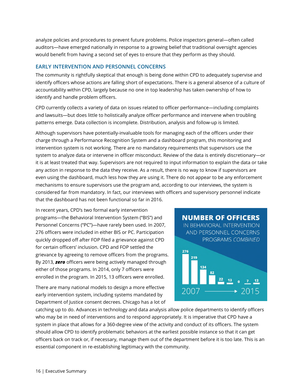analyze policies and procedures to prevent future problems. Police inspectors general—often called auditors—have emerged nationally in response to a growing belief that traditional oversight agencies would benefit from having a second set of eyes to ensure that they perform as they should.

### **EARLY INTERVENTION AND PERSONNEL CONCERNS**

The community is rightfully skeptical that enough is being done within CPD to adequately supervise and identify officers whose actions are falling short of expectations. There is a general absence of a culture of accountability within CPD, largely because no one in top leadership has taken ownership of how to identify and handle problem officers.

CPD currently collects a variety of data on issues related to officer performance—including complaints and lawsuits—but does little to holistically analyze officer performance and intervene when troubling patterns emerge. Data collection is incomplete. Distribution, analysis and follow-up is limited.

Although supervisors have potentially-invaluable tools for managing each of the officers under their charge through a Performance Recognition System and a dashboard program, this monitoring and intervention system is not working. There are no mandatory requirements that supervisors use the system to analyze data or intervene in officer misconduct. Review of the data is entirely discretionary—or it is at least treated that way. Supervisors are not required to input information to explain the data or take any action in response to the data they receive. As a result, there is no way to know if supervisors are even using the dashboard, much less how they are using it. There do not appear to be any enforcement mechanisms to ensure supervisors use the program and, according to our interviews, the system is considered far from mandatory. In fact, our interviews with officers and supervisory personnel indicate that the dashboard has not been functional so far in 2016.

In recent years, CPD's two formal early intervention programs—the Behavioral Intervention System ("BIS") and Personnel Concerns ("PC")—have rarely been used. In 2007, 276 officers were included in either BIS or PC. Participation quickly dropped off after FOP filed a grievance against CPD for certain officers' inclusion. CPD and FOP settled the grievance by agreeing to remove officers from the programs. By 2013, *zero* officers were being actively managed through either of those programs. In 2014, only 7 officers were enrolled in the program. In 2015, 13 officers were enrolled.

There are many national models to design a more effective early intervention system, including systems mandated by Department of Justice consent decrees. Chicago has a lot of



catching up to do. Advances in technology and data analysis allow police departments to identify officers who may be in need of interventions and to respond appropriately. It is imperative that CPD have a system in place that allows for a 360-degree view of the activity and conduct of its officers. The system should allow CPD to identify problematic behaviors at the earliest possible instance so that it can get officers back on track or, if necessary, manage them out of the department before it is too late. This is an essential component in re-establishing legitimacy with the community.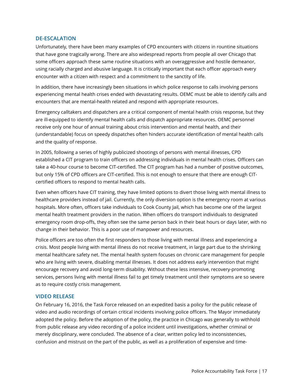#### **DE-ESCALATION**

Unfortunately, there have been many examples of CPD encounters with citizens in rountine situations that have gone tragically wrong. There are also widespread reports from people all over Chicago that some officers approach these same routine situations with an overaggressive and hostile demeanor, using racially charged and abusive language. It is critically important that each officer approach every encounter with a citizen with respect and a commitment to the sanctity of life.

In addition, there have increasingly been situations in which police response to calls involving persons experiencing mental health crises ended with devastating results. OEMC must be able to identify calls and encounters that are mental-health related and respond with appropriate resources.

Emergency calltakers and dispatchers are a critical component of mental health crisis response, but they are ill-equipped to identify mental health calls and dispatch appropriate resources. OEMC personnel receive only one hour of annual training about crisis intervention and mental health, and their (understandable) focus on speedy dispatches often hinders accurate identification of mental health calls and the quality of response.

In 2005, following a series of highly publicized shootings of persons with mental illnesses, CPD established a CIT program to train officers on addressing individuals in mental health crises. Officers can take a 40-hour course to become CIT-certified. The CIT program has had a number of positive outcomes, but only 15% of CPD officers are CIT-certified. This is not enough to ensure that there are enough CITcertified officers to respond to mental health calls.

Even when officers have CIT training, they have limited options to divert those living with mental illness to healthcare providers instead of jail. Currently, the only diversion option is the emergency room at various hospitals. More often, officers take individuals to Cook County Jail, which has become one of the largest mental health treatment providers in the nation. When officers do transport individuals to designated emergency room drop-offs, they often see the same person back in their beat hours or days later, with no change in their behavior. This is a poor use of manpower and resources.

Police officers are too often the first responders to those living with mental illness and experiencing a crisis. Most people living with mental illness do not receive treatment, in large part due to the shrinking mental healthcare safety net. The mental health system focuses on chronic care management for people who are living with severe, disabling mental illnesses. It does not address early intervention that might encourage recovery and avoid long-term disability. Without these less intensive, recovery-promoting services, persons living with mental illness fail to get timely treatment until their symptoms are so severe as to require costly crisis management.

#### **VIDEO RELEASE**

On February 16, 2016, the Task Force released on an expedited basis a policy for the public release of video and audio recordings of certain critical incidents involving police officers. The Mayor immediately adopted the policy. Before the adoption of the policy, the practice in Chicago was generally to withhold from public release any video recording of a police incident until investigations, whether criminal or merely disciplinary, were concluded. The absence of a clear, written policy led to inconsistencies, confusion and mistrust on the part of the public, as well as a proliferation of expensive and time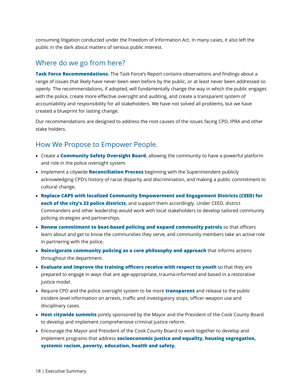consuming litigation conducted under the Freedom of Information Act. In many cases, it also left the public in the dark about matters of serious public interest.

## Where do we go from here?

**Task Force Recommendations.** The Task Force's Report contains observations and findings about a range of issues that likely have never been seen before by the public, or at least never been addressed so openly. The recommendations, if adopted, will fundamentally change the way in which the public engages with the police, create more effective oversight and auditing, and create a transparent system of accountability and responsibility for all stakeholders. We have not solved all problems, but we have created a blueprint for lasting change.

Our recommendations are designed to address the root causes of the issues facing CPD, IPRA and other stake holders.

## How We Propose to Empower People.

- Create a **Community Safety Oversight Board**, allowing the community to have a powerful platform and role in the police oversight system.
- Implement a citywide **Reconciliation Process** beginning with the Superintendent publicly acknowledging CPD's history of racial disparity and discrimination, and making a public commitment to cultural change.
- **Replace CAPS with localized Community Empowerment and Engagement Districts (CEED) for each of the city's 22 police districts**, and support them accordingly. Under CEED, district Commanders and other leadership would work with local stakeholders to develop tailored community policing strategies and partnerships.
- **Renew commitment to beat-based policing and expand community patrols** so that officers learn about and get to know the communities they serve, and community members take an active role in partnering with the police.
- **Reinvigorate community policing as a core philosophy and approach** that informs actions throughout the department.
- **Evaluate and improve the training officers receive with respect to youth** so that they are prepared to engage in ways that are age-appropriate, trauma-informed and based in a restorative justice model.
- Require CPD and the police oversight system to be more **transparent** and release to the public incident-level information on arrests, traffic and investigatory stops, officer weapon use and disciplinary cases.
- **Host citywide summits** jointly sponsored by the Mayor and the President of the Cook County Board to develop and implement comprehensive criminal justice reform.
- Encourage the Mayor and President of the Cook County Board to work together to develop and implement programs that address **socioeconomic justice and equality, housing segregation, systemic racism, poverty, education, health and safety.**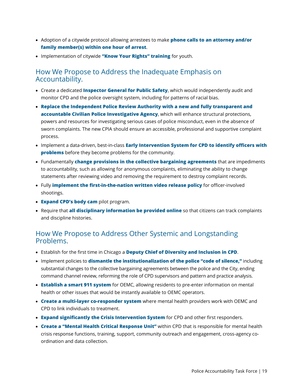- Adoption of a citywide protocol allowing arrestees to make **phone calls to an attorney and/or family member(s) within one hour of arrest**.
- Implementation of citywide **"Know Your Rights" training** for youth.

## How We Propose to Address the Inadequate Emphasis on Accountability.

- Create a dedicated **Inspector General for Public Safety**, which would independently audit and monitor CPD and the police oversight system, including for patterns of racial bias.
- **Replace the Independent Police Review Authority with a new and fully transparent and accountable Civilian Police Investigative Agency**, which will enhance structural protections, powers and resources for investigating serious cases of police misconduct, even in the absence of sworn complaints. The new CPIA should ensure an accessible, professional and supportive complaint process.
- Implement a data-driven, best-in-class **Early Intervention System for CPD to identify officers with problems** before they become problems for the community.
- Fundamentally **change provisions in the collective bargaining agreements** that are impediments to accountability, such as allowing for anonymous complaints, eliminating the ability to change statements after reviewing video and removing the requirement to destroy complaint records.
- Fully **implement the first-in-the-nation written video release policy** for officer-involved shootings.
- **Expand CPD's body cam** pilot program.
- Require that **all disciplinary information be provided online** so that citizens can track complaints and discipline histories.

## How We Propose to Address Other Systemic and Longstanding Problems.

- Establish for the first time in Chicago a **Deputy Chief of Diversity and Inclusion in CPD**.
- Implement policies to **dismantle the institutionalization of the police "code of silence,"** including substantial changes to the collective bargaining agreements between the police and the City, ending command channel review, reforming the role of CPD supervisors and pattern and practice analysis.
- **Establish a smart 911 system** for OEMC, allowing residents to pre-enter information on mental health or other issues that would be instantly available to OEMC operators.
- **Create a multi-layer co-responder system** where mental health providers work with OEMC and CPD to link individuals to treatment.
- **Expand significantly the Crisis Intervention System** for CPD and other first responders.
- **Create a "Mental Health Critical Response Unit"** within CPD that is responsible for mental health crisis response functions, training, support, community outreach and engagement, cross-agency coordination and data collection.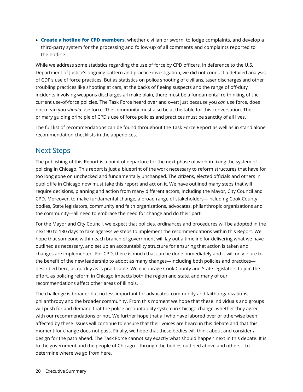• **Create a hotline for CPD members**, whether civilian or sworn, to lodge complaints, and develop a third-party system for the processing and follow-up of all comments and complaints reported to the hotline.

While we address some statistics regarding the use of force by CPD officers, in deference to the U.S. Department of Justice's ongoing pattern and practice investigation, we did not conduct a detailed analysis of CDP's use of force practices. But as statistics on police shooting of civilians, taser discharges and other troubling practices like shooting at cars, at the backs of fleeing suspects and the range of off-duty incidents involving weapons discharges all make plain, there must be a fundamental re-thinking of the current use-of-force policies. The Task Force heard over and over: just because you *can* use force, does not mean you *should* use force. The community must also be at the table for this conversation. The primary guiding principle of CPD's use of force policies and practices must be sanctity of all lives.

The full list of recommendations can be found throughout the Task Force Report as well as in stand alone recommendation checklists in the appendices.

## Next Steps

The publishing of this Report is a point of departure for the next phase of work in fixing the system of policing in Chicago. This report is just a blueprint of the work necessary to reform structures that have for too long gone on unchecked and fundamentally unchanged. The citizens, elected officials and others in public life in Chicago now must take this report and act on it. We have outlined many steps that will require decisions, planning and action from many different actors, including the Mayor, City Council and CPD. Moreover, to make fundamental change, a broad range of stakeholders—including Cook County bodies, State legislators, community and faith organizations, advocates, philanthropic organizations and the community—all need to embrace the need for change and do their part.

For the Mayor and City Council, we expect that policies, ordinances and procedures will be adopted in the next 90 to 180 days to take aggressive steps to implement the recommendations within this Report. We hope that someone within each branch of government will lay out a timeline for delivering what we have outlined as necessary, and set up an accountability structure for ensuring that action is taken and changes are implemented. For CPD, there is much that can be done immediately and it will only inure to the benefit of the new leadership to adopt as many changes—including both policies and practices described here, as quickly as is practicable. We encourage Cook County and State legislators to join the effort, as policing reform in Chicago impacts both the region and state, and many of our recommendations affect other areas of Illinois.

The challenge is broader but no less important for advocates, community and faith organizations, philanthropy and the broader community. From this moment we hope that these individuals and groups will push for and demand that the police accountability system in Chicago change, whether they agree with our recommendations or not. We further hope that all who have labored over or otherwise been affected by these issues will continue to ensure that their voices are heard in this debate and that this moment for change does not pass. Finally, we hope that these bodies will think about and consider a design for the path ahead. The Task Force cannot say exactly what should happen next in this debate. It is to the government and the people of Chicago—through the bodies outlined above and others—to determine where we go from here.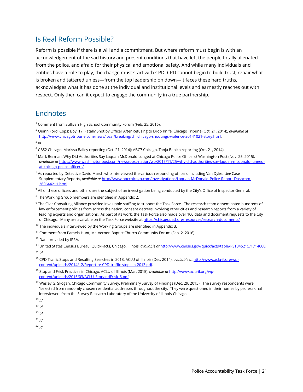## Is Real Reform Possible?

Reform is possible if there is a will and a commitment. But where reform must begin is with an acknowledgement of the sad history and present conditions that have left the people totally alienated from the police, and afraid for their physical and emotional safety. And while many individuals and entities have a role to play, the change must start with CPD. CPD cannot begin to build trust, repair what is broken and tattered unless—from the top leadership on down—it faces these hard truths, acknowledges what it has done at the individual and institutional levels and earnestly reaches out with respect. Only then can it expect to engage the community in a true partnership.

## Endnotes

<span id="page-20-0"></span><sup>1</sup> Comment from Sullivan High School Community Forum (Feb. 25, 2016).

- <span id="page-20-1"></span><sup>2</sup> Quinn Ford, Cops: Boy, 17, Fatally Shot by Officer After Refusing to Drop Knife, Chicago Tribune (Oct. 21, 2014), *available at* http://www.chicagotribune.com/news/local/breaking/chi-chicago-shootings-violence-20141021-story.html.
- <span id="page-20-2"></span>3 *Id*.

- <span id="page-20-4"></span><sup>5</sup> Mark Berman, Why Did Authorities Say Laquan McDonald Lunged at Chicago Police Officers? Washington Post (Nov. 25, 2015), *available at* https://www.washingtonpost.com/news/post-nation/wp/2015/11/25/why-did-authorities-say-laquan-mcdonald-lungedat-chicago-police-officers/.
- <span id="page-20-5"></span><sup>6</sup> As reported by Detective David Marsh who interviewed the various responding officers, including Van Dyke. *See* Case Supplementary Reports, *available at* http://www.nbcchicago.com/investigations/Laquan-McDonald-Police-Report-Dashcam-360644211.html.
- <span id="page-20-6"></span> $^7$  All of these officers and others are the subject of an investigation being conducted by the City's Office of Inspector General.
- <span id="page-20-7"></span>8 The Working Group members are identified in Appendix 2.
- <span id="page-20-8"></span> $^9$  The Civic Consulting Alliance provided invaluable staffing to support the Task Force. The research team disseminated hundreds of law enforcement policies from across the nation, consent decrees involving other cities and research reports from a variety of leading experts and organizations. As part of its work, the Task Force also made over 100 data and document requests to the City of Chicago. Many are available on the Task Force website at https://chicagopatf.org/resources/research-documents/
- <span id="page-20-9"></span> $10$  The individuals interviewed by the Working Groups are identified in Appendix 3.
- <span id="page-20-10"></span><sup>11</sup> Comment from Pamela Hunt, Mt. Vernon Baptist Church Community Forum (Feb. 2, 2016).
- <span id="page-20-11"></span><sup>12</sup> Data provided by IPRA.
- <span id="page-20-13"></span><span id="page-20-12"></span><sup>13</sup> United States Census Bureau, QuickFacts, Chicago, Illinois, *available at* http://www.census.gov/quickfacts/table/PST045215/1714000*.* <sup>14</sup> *Id*.
- <span id="page-20-14"></span><sup>15</sup> CPD Traffic Stops and Resulting Searches in 2013, ACLU of Illinois (Dec. 2014), *available at* http://www.aclu-il.org/wpcontent/uploads/2014/12/Report-re-CPD-traffic-stops-in-2013.pdf.
- <span id="page-20-15"></span><sup>16</sup> Stop and Frisk Practices in Chicago, ACLU of Illinois (Mar. 2015), *available at* http://www.aclu-il.org/wpcontent/uploads/2015/03/ACLU\_StopandFrisk\_6.pdf.
- <span id="page-20-16"></span><sup>17</sup> Wesley G. Skogan, Chicago Community Survey, Preliminary Survey of Findings (Dec. 29, 2015). The survey respondents were "selected from randomly chosen residential addresses throughout the city. They were questioned in their homes by professional interviewers from the Survey Research Laboratory of the University of Illinois-Chicago.

<span id="page-20-19"></span> $^{20}$  *Id.* 

<span id="page-20-20"></span> $21$  *Id*.

<span id="page-20-21"></span> $^{22}$  *Id.* 

<span id="page-20-3"></span><sup>4</sup> CBS2 Chicago, Marissa Bailey reporting (Oct. 21, 2014); ABC7 Chicago, Tanja Babich reporting (Oct. 21, 2014).

<span id="page-20-17"></span> $18$  *Id.* 

<span id="page-20-18"></span> $19$  *Id.*